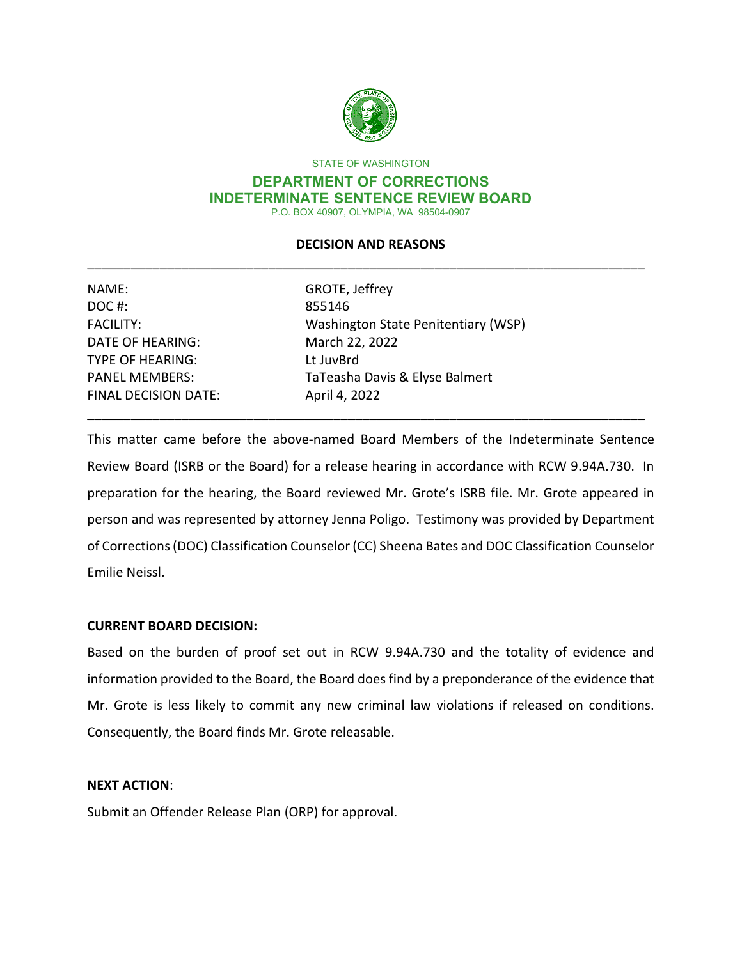

STATE OF WASHINGTON

#### **DEPARTMENT OF CORRECTIONS INDETERMINATE SENTENCE REVIEW BOARD** P.O. BOX 40907, OLYMPIA, WA 98504-0907

## **DECISION AND REASONS** \_\_\_\_\_\_\_\_\_\_\_\_\_\_\_\_\_\_\_\_\_\_\_\_\_\_\_\_\_\_\_\_\_\_\_\_\_\_\_\_\_\_\_\_\_\_\_\_\_\_\_\_\_\_\_\_\_\_\_\_\_\_\_\_\_\_\_\_\_\_\_\_\_\_\_\_\_

| NAME:                       | GROTE, Jeffrey                      |  |
|-----------------------------|-------------------------------------|--|
| DOC#:                       | 855146                              |  |
| <b>FACILITY:</b>            | Washington State Penitentiary (WSP) |  |
| <b>DATE OF HEARING:</b>     | March 22, 2022                      |  |
| <b>TYPE OF HEARING:</b>     | Lt JuvBrd                           |  |
| <b>PANEL MEMBERS:</b>       | TaTeasha Davis & Elyse Balmert      |  |
| <b>FINAL DECISION DATE:</b> | April 4, 2022                       |  |
|                             |                                     |  |

This matter came before the above-named Board Members of the Indeterminate Sentence Review Board (ISRB or the Board) for a release hearing in accordance with RCW 9.94A.730. In preparation for the hearing, the Board reviewed Mr. Grote's ISRB file. Mr. Grote appeared in person and was represented by attorney Jenna Poligo. Testimony was provided by Department of Corrections (DOC) Classification Counselor (CC) Sheena Bates and DOC Classification Counselor Emilie Neissl.

## **CURRENT BOARD DECISION:**

Based on the burden of proof set out in RCW 9.94A.730 and the totality of evidence and information provided to the Board, the Board does find by a preponderance of the evidence that Mr. Grote is less likely to commit any new criminal law violations if released on conditions. Consequently, the Board finds Mr. Grote releasable.

## **NEXT ACTION**:

Submit an Offender Release Plan (ORP) for approval.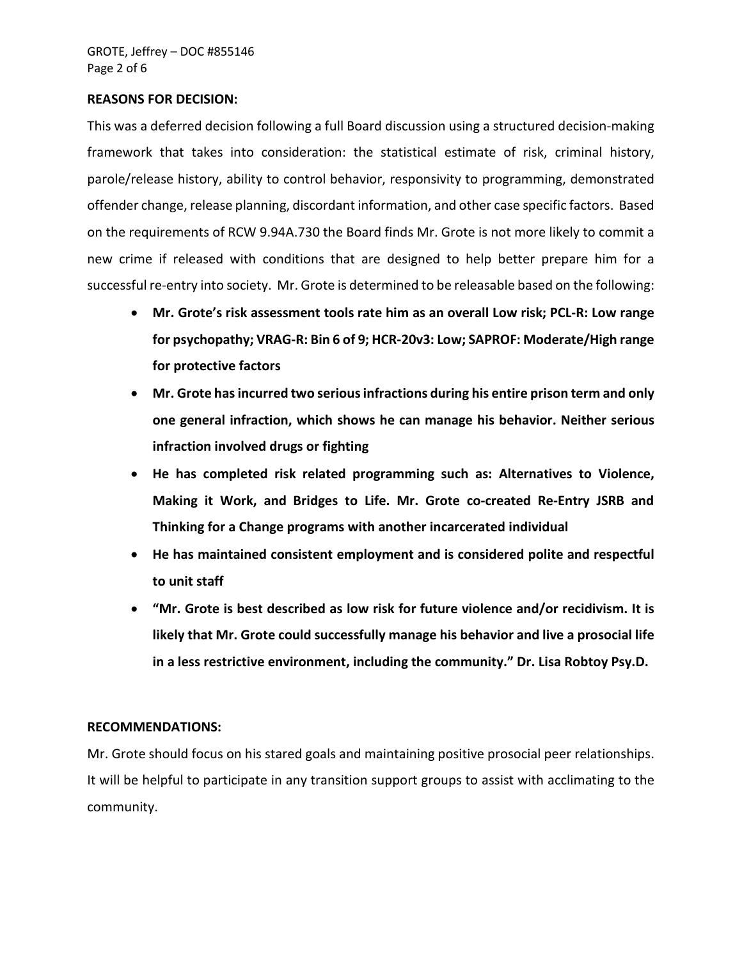#### **REASONS FOR DECISION:**

This was a deferred decision following a full Board discussion using a structured decision-making framework that takes into consideration: the statistical estimate of risk, criminal history, parole/release history, ability to control behavior, responsivity to programming, demonstrated offender change, release planning, discordant information, and other case specific factors. Based on the requirements of RCW 9.94A.730 the Board finds Mr. Grote is not more likely to commit a new crime if released with conditions that are designed to help better prepare him for a successful re-entry into society. Mr. Grote is determined to be releasable based on the following:

- **Mr. Grote's risk assessment tools rate him as an overall Low risk; PCL-R: Low range for psychopathy; VRAG-R: Bin 6 of 9; HCR-20v3: Low; SAPROF: Moderate/High range for protective factors**
- **Mr. Grote has incurred two serious infractions during his entire prison term and only one general infraction, which shows he can manage his behavior. Neither serious infraction involved drugs or fighting**
- **He has completed risk related programming such as: Alternatives to Violence, Making it Work, and Bridges to Life. Mr. Grote co-created Re-Entry JSRB and Thinking for a Change programs with another incarcerated individual**
- **He has maintained consistent employment and is considered polite and respectful to unit staff**
- **"Mr. Grote is best described as low risk for future violence and/or recidivism. It is likely that Mr. Grote could successfully manage his behavior and live a prosocial life in a less restrictive environment, including the community." Dr. Lisa Robtoy Psy.D.**

#### **RECOMMENDATIONS:**

Mr. Grote should focus on his stared goals and maintaining positive prosocial peer relationships. It will be helpful to participate in any transition support groups to assist with acclimating to the community.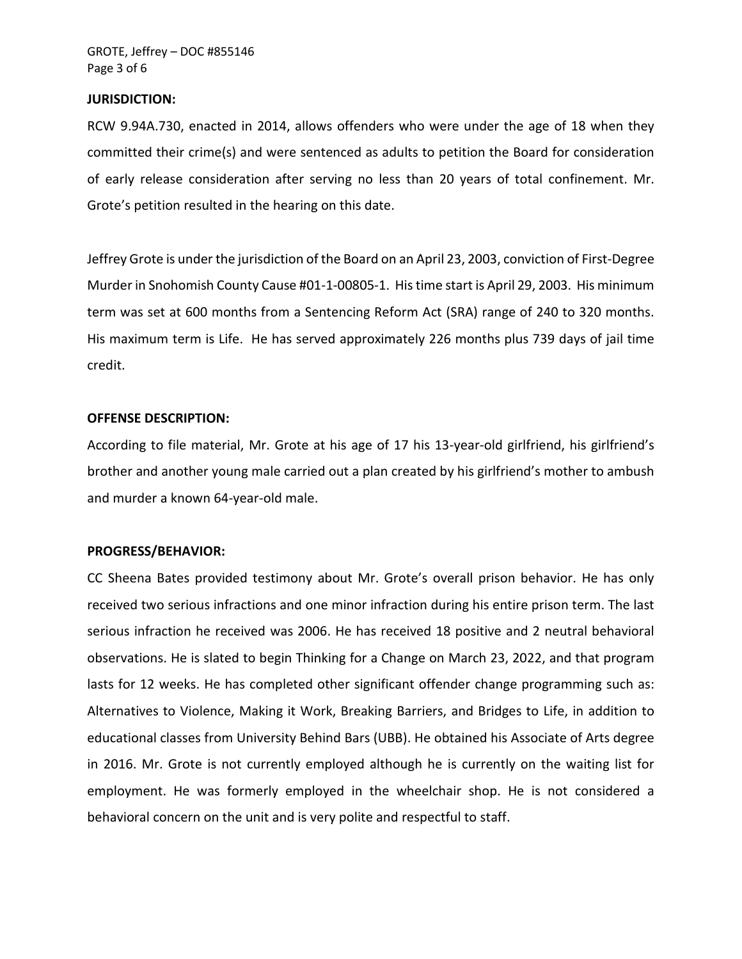#### **JURISDICTION:**

RCW 9.94A.730, enacted in 2014, allows offenders who were under the age of 18 when they committed their crime(s) and were sentenced as adults to petition the Board for consideration of early release consideration after serving no less than 20 years of total confinement. Mr. Grote's petition resulted in the hearing on this date.

Jeffrey Grote is under the jurisdiction of the Board on an April 23, 2003, conviction of First-Degree Murder in Snohomish County Cause #01-1-00805-1. His time start is April 29, 2003. His minimum term was set at 600 months from a Sentencing Reform Act (SRA) range of 240 to 320 months. His maximum term is Life. He has served approximately 226 months plus 739 days of jail time credit.

#### **OFFENSE DESCRIPTION:**

According to file material, Mr. Grote at his age of 17 his 13-year-old girlfriend, his girlfriend's brother and another young male carried out a plan created by his girlfriend's mother to ambush and murder a known 64-year-old male.

#### **PROGRESS/BEHAVIOR:**

CC Sheena Bates provided testimony about Mr. Grote's overall prison behavior. He has only received two serious infractions and one minor infraction during his entire prison term. The last serious infraction he received was 2006. He has received 18 positive and 2 neutral behavioral observations. He is slated to begin Thinking for a Change on March 23, 2022, and that program lasts for 12 weeks. He has completed other significant offender change programming such as: Alternatives to Violence, Making it Work, Breaking Barriers, and Bridges to Life, in addition to educational classes from University Behind Bars (UBB). He obtained his Associate of Arts degree in 2016. Mr. Grote is not currently employed although he is currently on the waiting list for employment. He was formerly employed in the wheelchair shop. He is not considered a behavioral concern on the unit and is very polite and respectful to staff.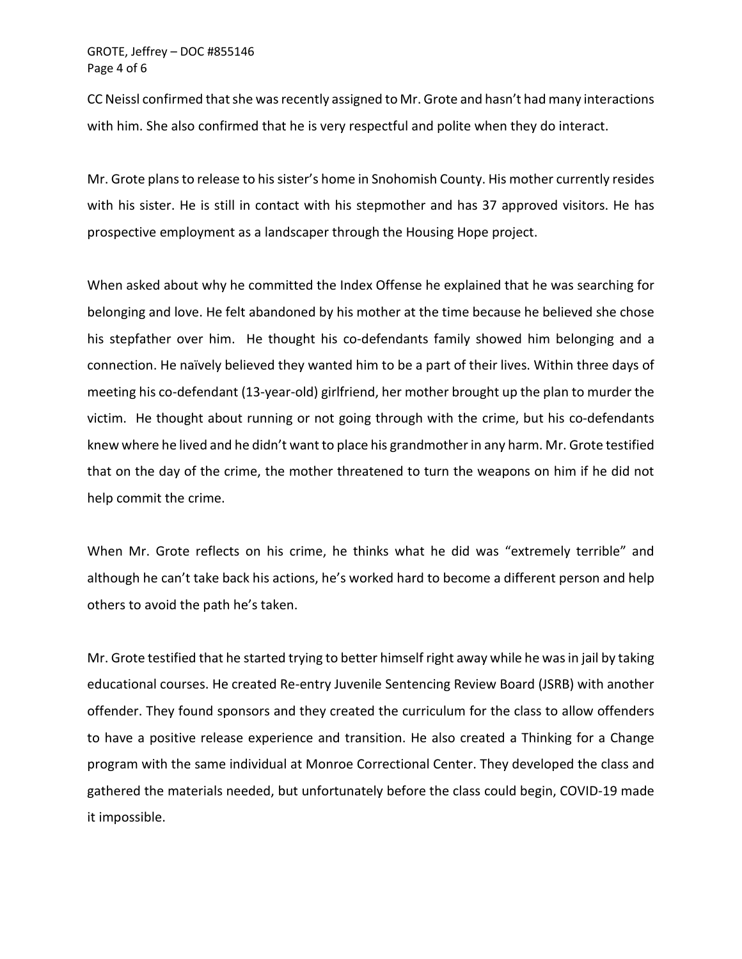GROTE, Jeffrey – DOC #855146 Page 4 of 6

CC Neissl confirmed that she was recently assigned to Mr. Grote and hasn't had many interactions with him. She also confirmed that he is very respectful and polite when they do interact.

Mr. Grote plans to release to his sister's home in Snohomish County. His mother currently resides with his sister. He is still in contact with his stepmother and has 37 approved visitors. He has prospective employment as a landscaper through the Housing Hope project.

When asked about why he committed the Index Offense he explained that he was searching for belonging and love. He felt abandoned by his mother at the time because he believed she chose his stepfather over him. He thought his co-defendants family showed him belonging and a connection. He naïvely believed they wanted him to be a part of their lives. Within three days of meeting his co-defendant (13-year-old) girlfriend, her mother brought up the plan to murder the victim. He thought about running or not going through with the crime, but his co-defendants knew where he lived and he didn't want to place his grandmother in any harm. Mr. Grote testified that on the day of the crime, the mother threatened to turn the weapons on him if he did not help commit the crime.

When Mr. Grote reflects on his crime, he thinks what he did was "extremely terrible" and although he can't take back his actions, he's worked hard to become a different person and help others to avoid the path he's taken.

Mr. Grote testified that he started trying to better himself right away while he was in jail by taking educational courses. He created Re-entry Juvenile Sentencing Review Board (JSRB) with another offender. They found sponsors and they created the curriculum for the class to allow offenders to have a positive release experience and transition. He also created a Thinking for a Change program with the same individual at Monroe Correctional Center. They developed the class and gathered the materials needed, but unfortunately before the class could begin, COVID-19 made it impossible.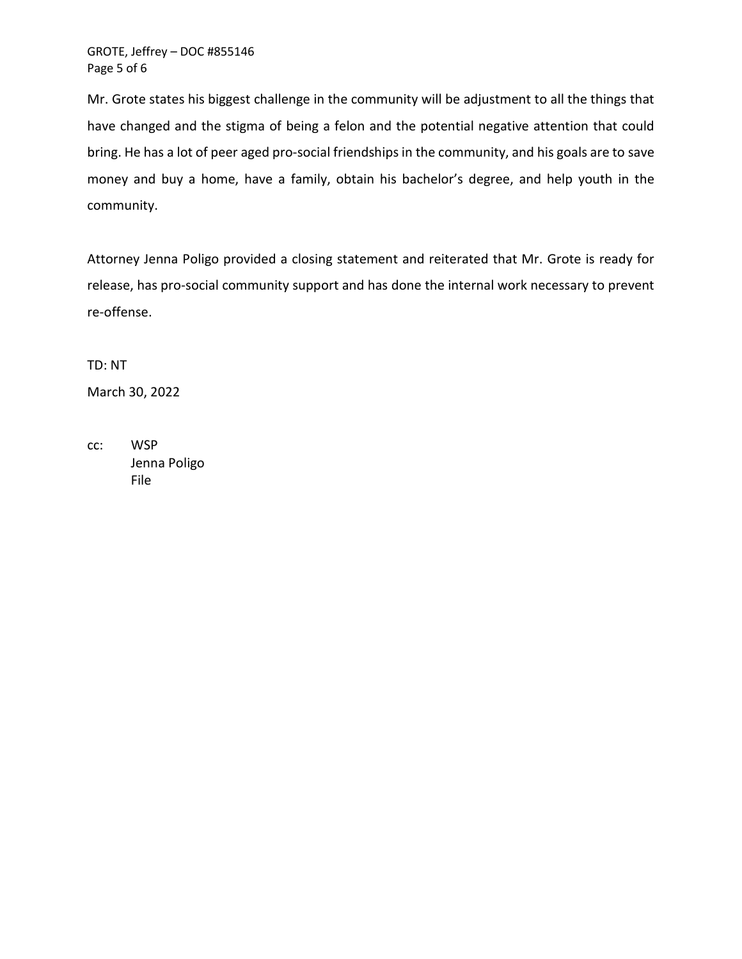Mr. Grote states his biggest challenge in the community will be adjustment to all the things that have changed and the stigma of being a felon and the potential negative attention that could bring. He has a lot of peer aged pro-social friendships in the community, and his goals are to save money and buy a home, have a family, obtain his bachelor's degree, and help youth in the community.

Attorney Jenna Poligo provided a closing statement and reiterated that Mr. Grote is ready for release, has pro-social community support and has done the internal work necessary to prevent re-offense.

TD: NT March 30, 2022

cc: WSP Jenna Poligo File